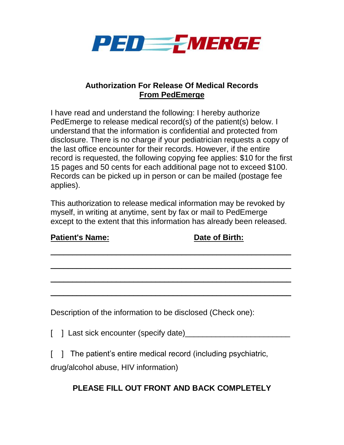

## **Authorization For Release Of Medical Records From PedEmerge**

I have read and understand the following: I hereby authorize PedEmerge to release medical record(s) of the patient(s) below. I understand that the information is confidential and protected from disclosure. There is no charge if your pediatrician requests a copy of the last office encounter for their records. However, if the entire record is requested, the following copying fee applies: \$10 for the first 15 pages and 50 cents for each additional page not to exceed \$100. Records can be picked up in person or can be mailed (postage fee applies).

This authorization to release medical information may be revoked by myself, in writing at anytime, sent by fax or mail to PedEmerge except to the extent that this information has already been released.

**Patient's Name: Date of Birth:**

| $\mathbf{r}$ autoned in an $\mathbf{r}$ . | <b>Dale Of Diffill</b>                                          |  |
|-------------------------------------------|-----------------------------------------------------------------|--|
|                                           |                                                                 |  |
|                                           |                                                                 |  |
|                                           |                                                                 |  |
|                                           | Description of the information to be disclosed (Check one):     |  |
| [ ] Last sick encounter (specify date)    |                                                                 |  |
| drug/alcohol abuse, HIV information)      | [ ] The patient's entire medical record (including psychiatric, |  |

## **PLEASE FILL OUT FRONT AND BACK COMPLETELY**